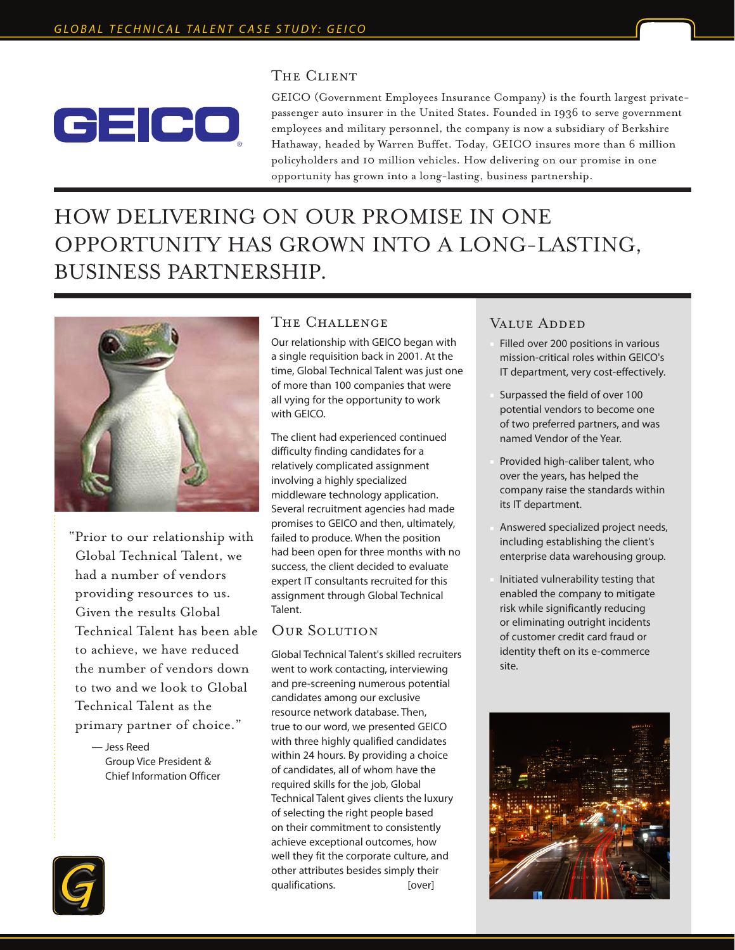

### THE CLIENT

GEICO (Government Employees Insurance Company) is the fourth largest privatepassenger auto insurer in the United States. Founded in 1936 to serve government employees and military personnel, the company is now a subsidiary of Berkshire Hathaway, headed by Warren Buffet. Today, GEICO insures more than 6 million policyholders and 10 million vehicles. How delivering on our promise in one opportunity has grown into a long-lasting, business partnership.

# HOW DELIVERING ON OUR PROMISE IN ONE OPPORTUNITY HAS GROWN INTO A LONG-LASTING, BUSINESS PARTNERSHIP.



"Prior to our relationship with Global Technical Talent, we had a number of vendors providing resources to us. Given the results Global Technical Talent has been able to achieve, we have reduced the number of vendors down to two and we look to Global Technical Talent as the primary partner of choice."

> — Jess Reed Group Vice President & Chief Information Officer



#### The Challenge

Our relationship with GEICO began with a single requisition back in 2001. At the time, Global Technical Talent was just one of more than 100 companies that were all vying for the opportunity to work with GEICO.

The client had experienced continued difficulty finding candidates for a relatively complicated assignment involving a highly specialized middleware technology application. Several recruitment agencies had made promises to GEICO and then, ultimately, failed to produce. When the position had been open for three months with no success, the client decided to evaluate expert IT consultants recruited for this assignment through Global Technical Talent.

#### Our Solution

Global Technical Talent's skilled recruiters went to work contacting, interviewing and pre-screening numerous potential candidates among our exclusive resource network database. Then, true to our word, we presented GEICO with three highly qualified candidates within 24 hours. By providing a choice of candidates, all of whom have the required skills for the job, Global Technical Talent gives clients the luxury of selecting the right people based on their commitment to consistently achieve exceptional outcomes, how well they fit the corporate culture, and other attributes besides simply their qualifications. [over]

## VALUE ADDED

- Filled over 200 positions in various mission-critical roles within GEICO's IT department, very cost-effectively.
- Surpassed the field of over 100 potential vendors to become one of two preferred partners, and was named Vendor of the Year.
- Provided high-caliber talent, who over the years, has helped the company raise the standards within its IT department.
- Answered specialized project needs, including establishing the client's enterprise data warehousing group.
- Initiated vulnerability testing that enabled the company to mitigate risk while significantly reducing or eliminating outright incidents of customer credit card fraud or identity theft on its e-commerce site.